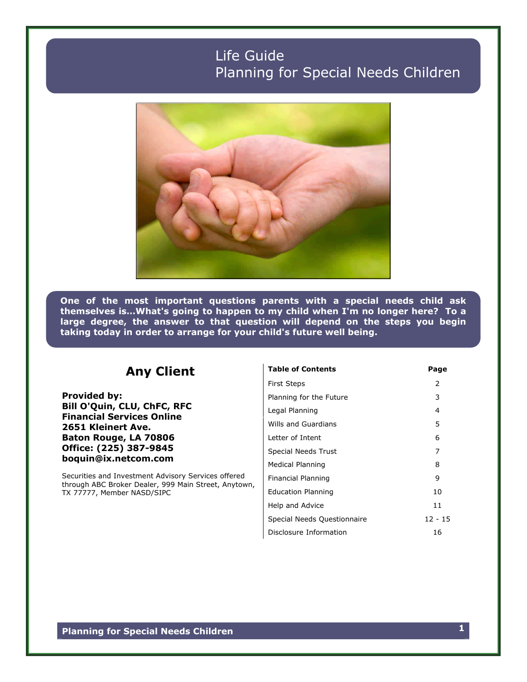# Life Guide Planning for Special Needs Children



**One of the most important questions parents with a special needs child ask themselvesis…What'sgoingtohappentomychildwhenI'm nolongerhere? Toa large degree, the answer to that question will depend on the steps you begin taking today in order to arrange for your child's future well being.**

## **Any Client**

**Provided by: Bill O'Quin, CLU, ChFC, RFC Financial Services Online 2651 Kleinert Ave. Baton Rouge, LA 70806 Office: (225) 387-9845 boquin@ix.netcom.com**

Securities and Investment Advisory Services offered through ABC Broker Dealer, 999 Main Street, Anytown, TX 77777, Member NASD/SIPC

| <b>Table of Contents</b>    | Page      |
|-----------------------------|-----------|
| <b>First Steps</b>          | 2         |
| Planning for the Future     | 3         |
| Legal Planning              | 4         |
| Wills and Guardians         | 5         |
| Letter of Intent            | 6         |
| <b>Special Needs Trust</b>  | 7         |
| Medical Planning            | 8         |
| Financial Planning          | 9         |
| <b>Education Planning</b>   | 10        |
| Help and Advice             | 11        |
| Special Needs Questionnaire | $12 - 15$ |
| Disclosure Information      | 16        |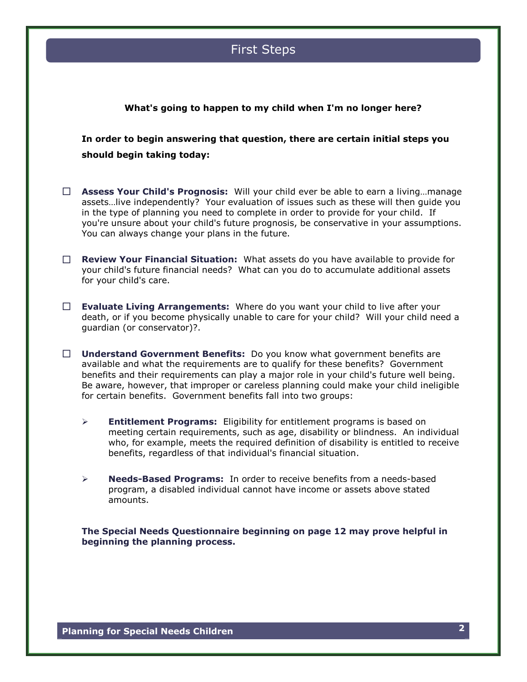## First Steps

#### **What's going to happen to my child when I'm no longer here?**

**In order to begin answering that question, there are certain initial steps you should begin taking today:**

- **Assess Your Child's Prognosis:** Willyourchildeverbeabletoearnaliving…manage assets... live independently? Your evaluation of issues such as these will then guide you in the type of planning you need to complete in order to provide for your child. If you're unsure about your child's future prognosis, be conservative in your assumptions. You can always change your plans in the future.
- **Review Your Financial Situation:** What assets do you have available to provide for your child's future financial needs? What can you do to accumulate additional assets for your child's care.
- **Evaluate Living Arrangements:** Where do you want your child to live after your death, or if you become physically unable to care for your child? Will your child need a guardian (or conservator)?.
- **Understand Government Benefits:** Do you know what government benefits are available and what the requirements are to qualify for these benefits? Government benefits and their requirements can play a major role in your child's future well being. Be aware, however, that improper or careless planning could make your child ineligible for certain benefits. Government benefits fall into two groups:
	- **Entitlement Programs:** Eligibility for entitlement programs is based on meeting certain requirements, such as age, disability or blindness. An individual who, for example, meets the required definition of disability is entitled to receive benefits, regardless of that individual's financial situation.
	- **Needs-Based Programs:** In order to receive benefits from a needs-based program, a disabled individual cannot have income or assets above stated amounts.

**The Special Needs Questionnaire beginning on page 12 may prove helpful in beginning the planning process.**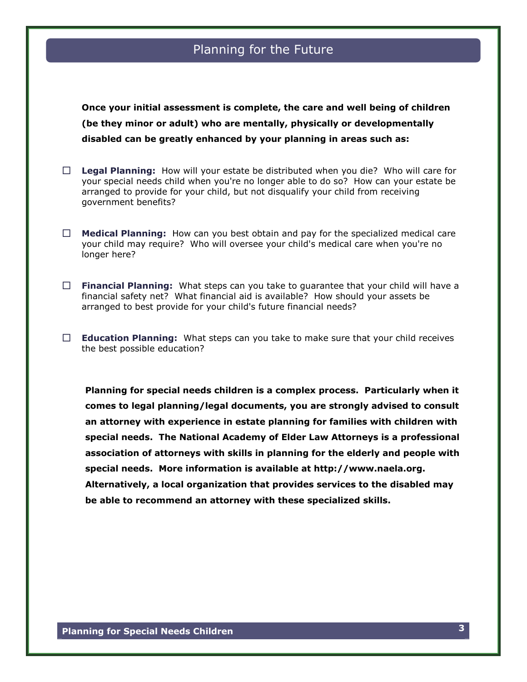## Planning for the Future

**Once your initial assessment is complete, the care and well being of children (be they minor or adult) who are mentally, physically or developmentally disabled can be greatly enhanced by your planning in areas such as:**

- **Legal Planning:** How will your estate be distributed when you die? Who will care for your special needs child when you're no longer able to do so? How can your estate be arranged to provide for your child, but not disqualify your child from receiving government benefits?
- **Medical Planning:** How can you best obtain and pay for the specialized medical care your child may require? Who will oversee your child's medical care when you're no longer here?
- **Financial Planning:** What steps can you take to quarantee that your child will have a financial safety net? What financial aid is available? How should your assets be arranged to best provide for your child's future financial needs?
- **Education Planning:** What steps can you take to make sure that your child receives the best possible education?

**Planning for special needs children is a complex process. Particularly when it comes to legal planning/legal documents, you are strongly advised to consult an attorney with experience in estate planning for families with children with special needs. The National Academy of Elder Law Attorneys is a professional association of attorneys with skills in planning for the elderly and people with special needs. More information is available at http://www.naela.org. Alternatively, a local organization that provides services to the disabled may be able to recommend an attorney with these specialized skills.**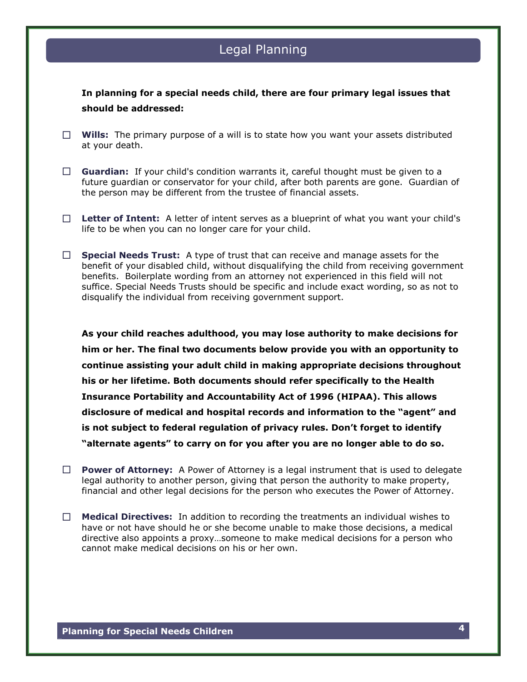## Legal Planning

**In planning for a special needs child, there are four primary legal issues that should be addressed:**

- **Wills:** The primary purpose of a will is to state how you want your assets distributed at your death.
- **Guardian:** If your child's condition warrants it, careful thought must be given to a future guardian or conservator for your child, after both parents are gone. Guardian of the person may be different from the trustee of financial assets.
- **Letter of Intent:** A letter of intent serves as a blueprint of what you want your child's life to be when you can no longer care for your child.
- □ **Special Needs Trust:** A type of trust that can receive and manage assets for the benefit of your disabled child, without disqualifying the child from receiving government benefits. Boilerplate wording from an attorney not experienced in this field will not suffice. Special Needs Trusts should be specific and include exact wording, so as not to disqualify the individual from receiving government support.

**As your child reaches adulthood, you may lose authority to make decisions for him or her. The final two documents below provide you with an opportunity to continue assisting your adult child in making appropriate decisions throughout his or her lifetime. Both documents should refer specifically to the Health Insurance Portability and Accountability Act of 1996 (HIPAA). This allows** disclosure of medical and hospital records and information to the "agent" and is not subject to federal regulation of privacy rules. Don't forget to identify **"alternateagents"to carry on for you after you are no longer able to do so.**

- **Power of Attorney:** A Power of Attorney is a legal instrument that is used to delegate legal authority to another person, giving that person the authority to make property, financial and other legal decisions for the person who executes the Power of Attorney.
- **Medical Directives:** In addition to recording the treatments an individual wishes to have or not have should he or she become unable to make those decisions, a medical directive also appoints a proxy…someone to make medical decisions for a person who cannot make medical decisions on his or her own.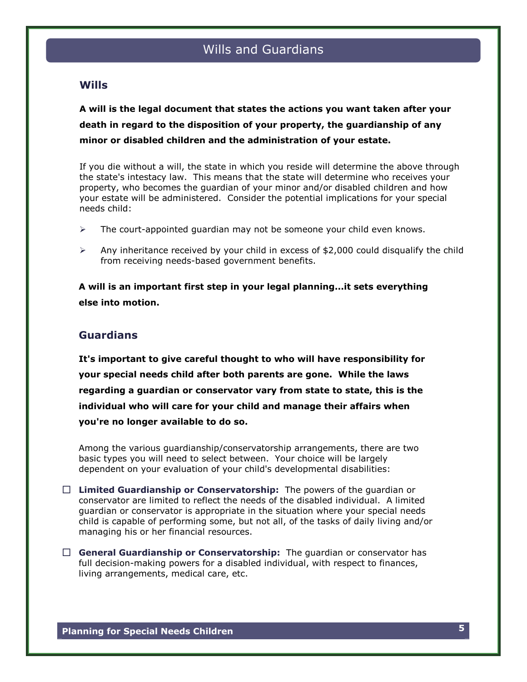### **Wills**

**A will is the legal document that states the actions you want taken after your death in regard to the disposition of your property, the guardianship of any minor or disabled children and the administration of your estate.**

If you die without a will, the state in which you reside will determine the above through the state's intestacy law. This means that the state will determine who receives your property, who becomes the guardian of your minor and/or disabled children and how your estate will be administered. Consider the potential implications for your special needs child:

- $\triangleright$  The court-appointed quardian may not be someone your child even knows.
- $\triangleright$  Any inheritance received by your child in excess of \$2,000 could disqualify the child from receiving needs-based government benefits.

**A will is an important first step in your legal planning...it sets everything else into motion.**

#### **Guardians**

**It's important to give careful thought to who will have responsibility for your special needs child after both parents are gone. While the laws regarding a guardian or conservator vary from state to state, this is the individual who will care for your child and manage their affairs when you're no longer available to do so.**

Among the various guardianship/conservatorship arrangements, there are two basic types you will need to select between. Your choice will be largely dependent on your evaluation of your child's developmental disabilities:

- **Limited Guardianship or Conservatorship:** The powers of the guardian or conservator are limited to reflect the needs of the disabled individual. A limited guardian or conservator is appropriate in the situation where your special needs child is capable of performing some, but not all, of the tasks of daily living and/or managing his or her financial resources.
- **General Guardianship or Conservatorship:** The guardian or conservator has full decision-making powers for a disabled individual, with respect to finances, living arrangements, medical care, etc.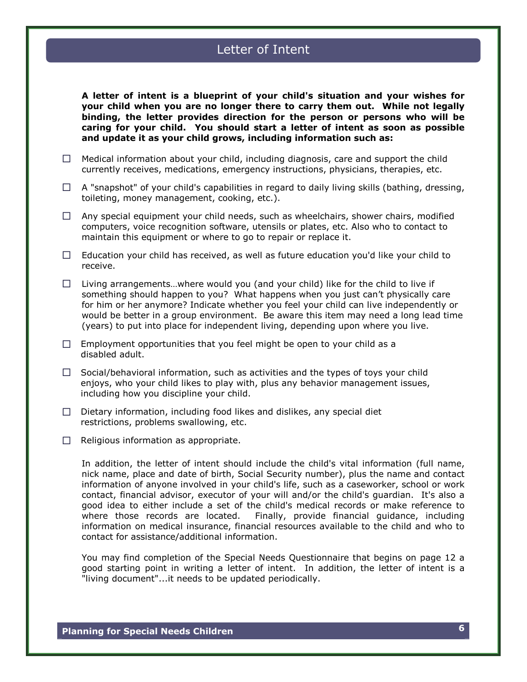## Letter of Intent

**A letter of intent is a blueprint of your child's situation and your wishes for your child when you are no longer there to carry them out. While not legally binding, the letter provides direction for the person or persons who will be caring for your child. You should start a letter of intent as soon as possible and update it as your child grows, including information such as:**

- $\Box$  Medical information about your child, including diagnosis, care and support the child currently receives, medications, emergency instructions, physicians, therapies, etc.
- $\Box$  A "snapshot" of your child's capabilities in regard to daily living skills (bathing, dressing, toileting, money management, cooking, etc.).
- $\Box$  Any special equipment your child needs, such as wheelchairs, shower chairs, modified computers, voice recognition software, utensils or plates, etc. Also who to contact to maintain this equipment or where to go to repair or replace it.
- $\Box$  Education your child has received, as well as future education you'd like your child to receive.
- $\Box$  Living arrangements...where would you (and your child) like for the child to live if something should happen to you? What happens when you just can't physically care for him or her anymore? Indicate whether you feel your child can live independently or would be better in a group environment. Be aware this item may need a long lead time (years) to put into place for independent living, depending upon where you live.
- $\Box$  Employment opportunities that you feel might be open to your child as a disabled adult.
- $\Box$  Social/behavioral information, such as activities and the types of toys your child enjoys, who your child likes to play with, plus any behavior management issues, including how you discipline your child.
- $\Box$  Dietary information, including food likes and dislikes, any special diet restrictions, problems swallowing, etc.
- $\Box$  Religious information as appropriate.

In addition, the letter of intent should include the child's vital information (full name, nick name, place and date of birth, Social Security number), plus the name and contact information of anyone involved in your child's life, such as a caseworker, school or work contact, financial advisor, executor of your will and/or the child's guardian. It's also a good idea to either include a set of the child's medical records or make reference to where those records are located. Finally, provide financial guidance, including information on medical insurance, financial resources available to the child and who to contact for assistance/additional information.

You may find completion of the Special Needs Questionnaire that begins on page 12 a good starting point in writing a letter of intent. In addition, the letter of intent is a "living document"...it needs to be updated periodically.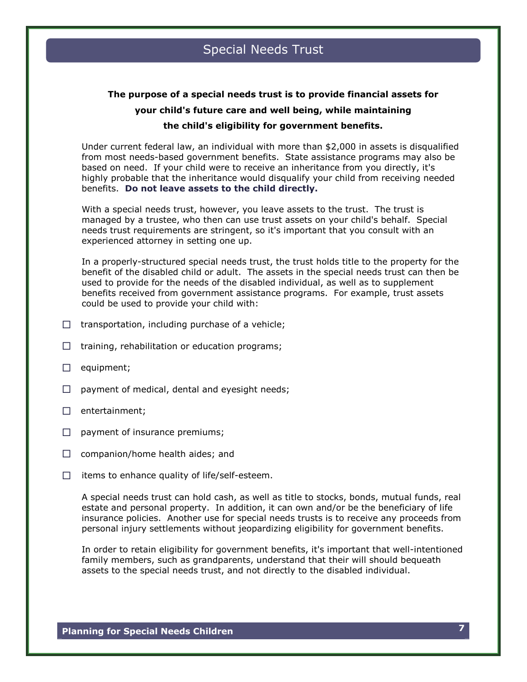## **The purpose of a special needs trust is to provide financial assets for your child's future care and well being, while maintaining the child's eligibility for government benefits.**

Under current federal law, an individual with more than \$2,000 in assets is disqualified from most needs-based government benefits. State assistance programs may also be based on need. If your child were to receive an inheritance from you directly, it's highly probable that the inheritance would disqualify your child from receiving needed benefits. **Do not leave assets to the child directly.**

With a special needs trust, however, you leave assets to the trust. The trust is managed by a trustee, who then can use trust assets on your child's behalf. Special needs trust requirements are stringent, so it's important that you consult with an experienced attorney in setting one up.

In a properly-structured special needs trust, the trust holds title to the property for the benefit of the disabled child or adult. The assets in the special needs trust can then be used to provide for the needs of the disabled individual, as well as to supplement benefits received from government assistance programs. For example, trust assets could be used to provide your child with:

- $\Box$  transportation, including purchase of a vehicle;
- $\Box$  training, rehabilitation or education programs;
- $\Box$  equipment;
- $\Box$  payment of medical, dental and eyesight needs;
- $\Box$  entertainment;
- $\Box$  payment of insurance premiums;
- $\Box$  companion/home health aides; and
- $\Box$  items to enhance quality of life/self-esteem.

A special needs trust can hold cash, as well as title to stocks, bonds, mutual funds, real estate and personal property. In addition, it can own and/or be the beneficiary of life insurance policies. Another use for special needs trusts is to receive any proceeds from personal injury settlements without jeopardizing eligibility for government benefits.

In order to retain eligibility for government benefits, it's important that well-intentioned family members, such as grandparents, understand that their will should bequeath assets to the special needs trust, and not directly to the disabled individual.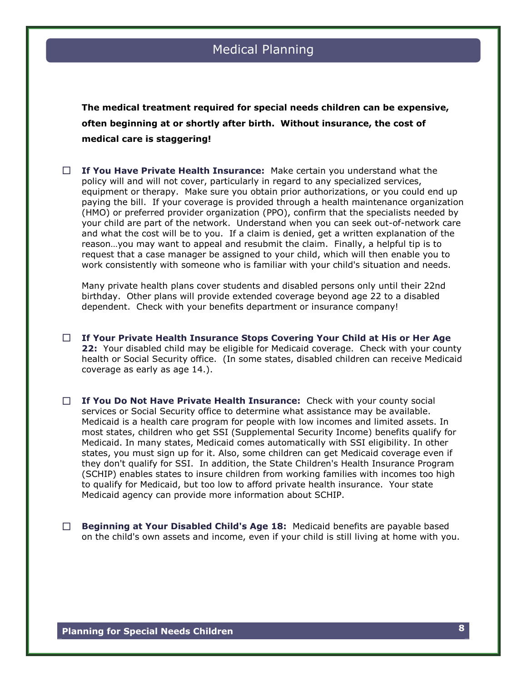**The medical treatment required for special needs children can be expensive, often beginning at or shortly after birth. Without insurance, the cost of medical care is staggering!**

 **If You Have Private Health Insurance:** Make certain you understand what the policy will and will not cover, particularly in regard to any specialized services, equipment or therapy. Make sure you obtain prior authorizations, or you could end up paying the bill. If your coverage is provided through a health maintenance organization (HMO) or preferred provider organization (PPO), confirm that the specialists needed by your child are part of the network. Understand when you can seek out-of-network care and what the cost will be to you. If a claim is denied, get a written explanation of the reason...you may want to appeal and resubmit the claim. Finally, a helpful tip is to request that a case manager be assigned to your child, which will then enable you to work consistently with someone who is familiar with your child's situation and needs.

Many private health plans cover students and disabled persons only until their 22nd birthday. Other plans will provide extended coverage beyond age 22 to a disabled dependent. Check with your benefits department or insurance company!

- **If Your Private Health Insurance Stops Covering Your Child at His or Her Age 22:** Your disabled child may be eligible for Medicaid coverage. Check with your county health or Social Security office. (In some states, disabled children can receive Medicaid coverage as early as age 14.).
- **If You Do Not Have Private Health Insurance:** Check with your county social services or Social Security office to determine what assistance may be available. Medicaid is a health care program for people with low incomes and limited assets. In most states, children who get SSI (Supplemental Security Income) benefits qualify for Medicaid. In many states, Medicaid comes automatically with SSI eligibility. In other states, you must sign up for it. Also, some children can get Medicaid coverage even if they don't qualify for SSI. In addition, the State Children's Health Insurance Program (SCHIP) enables states to insure children from working families with incomes too high to qualify for Medicaid, but too low to afford private health insurance. Your state Medicaid agency can provide more information about SCHIP.
- **Beginning at Your Disabled Child's Age 18:** Medicaid benefits are payable based on the child's own assets and income, even if your child is still living at home with you.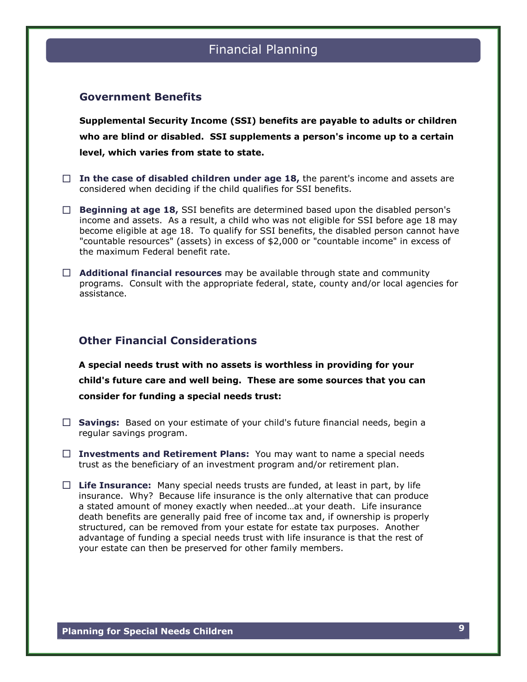# Financial Planning

#### **Government Benefits**

**Supplemental Security Income (SSI) benefits are payable to adults or children who are blind or disabled. SSI supplements a person's income up to a certain level, which varies from state to state.**

- $\Box$  In the case of disabled children under age 18, the parent's income and assets are considered when deciding if the child qualifies for SSI benefits.
- **Beginning at age 18,** SSI benefits are determined based upon the disabled person's income and assets. As a result, a child who was not eligible for SSI before age 18 may become eligible at age 18. To qualify for SSI benefits, the disabled person cannot have "countable resources" (assets) in excess of \$2,000 or "countable income" in excess of the maximum Federal benefit rate.
- **Additional financial resources** may be available through state and community programs. Consult with the appropriate federal, state, county and/or local agencies for assistance.

### **Other Financial Considerations**

**A special needs trust with no assets is worthless in providing for your child's future care and well being. These are some sources that you can consider for funding a special needs trust:**

- **Savings:** Based on your estimate of your child's future financial needs, begin a regular savings program.
- **Investments and Retirement Plans:** You may want to name a special needs trust as the beneficiary of an investment program and/or retirement plan.
- **Life Insurance:** Many special needs trusts are funded, at least in part, by life insurance. Why? Because life insurance is the only alternative that can produce a stated amount of money exactly when needed...at your death. Life insurance death benefits are generally paid free of income tax and, if ownership is properly structured, can be removed from your estate for estate tax purposes. Another advantage of funding a special needs trust with life insurance is that the rest of your estate can then be preserved for other family members.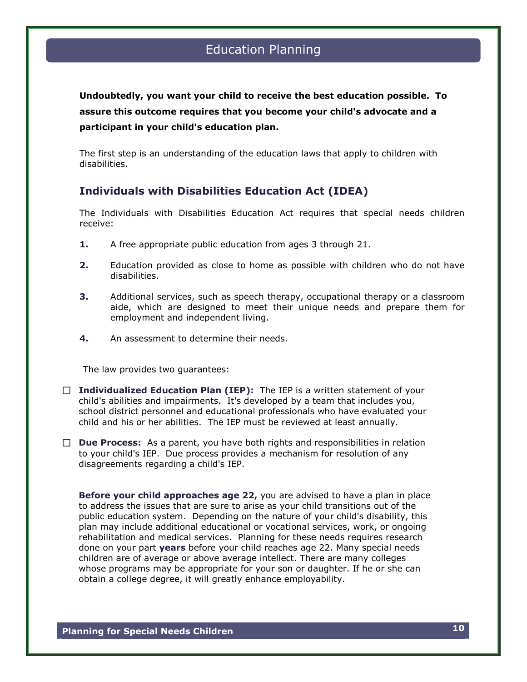**Undoubtedly, you want your child to receive the best education possible. To assure this outcome requires that you become your child's advocate and a participant in your child's education plan.**

The first step is an understanding of the education laws that apply to children with disabilities.

### **Individuals with Disabilities Education Act (IDEA)**

The Individuals with Disabilities Education Act requires that special needs children receive:

- **1.** A free appropriate public education from ages 3 through 21.
- **2.** Education provided as close to home as possible with children who do not have disabilities.
- **3.** Additional services, such as speech therapy, occupational therapy or a classroom aide, which are designed to meet their unique needs and prepare them for employment and independent living.
- **4.** An assessment to determine their needs.

The law provides two guarantees:

- **Individualized Education Plan (IEP):** The IEP is a written statement of your child's abilities and impairments. It's developed by a team that includes you, school district personnel and educational professionals who have evaluated your child and his or her abilities. The IEP must be reviewed at least annually.
- **Due Process:** As a parent, you have both rights and responsibilities in relation to your child's IEP. Due process provides a mechanism for resolution of any disagreements regarding a child's IEP.

**Before your child approaches age 22,** you are advised to have a plan in place to address the issues that are sure to arise as your child transitions out of the public education system. Depending on the nature of your child's disability, this plan may include additional educational or vocational services, work, or ongoing rehabilitation and medical services. Planning for these needs requires research done on your part **years** before your child reaches age 22. Many special needs children are of average or above average intellect. There are many colleges whose programs may be appropriate for your son or daughter. If he or she can obtain a college degree, it will greatly enhance employability.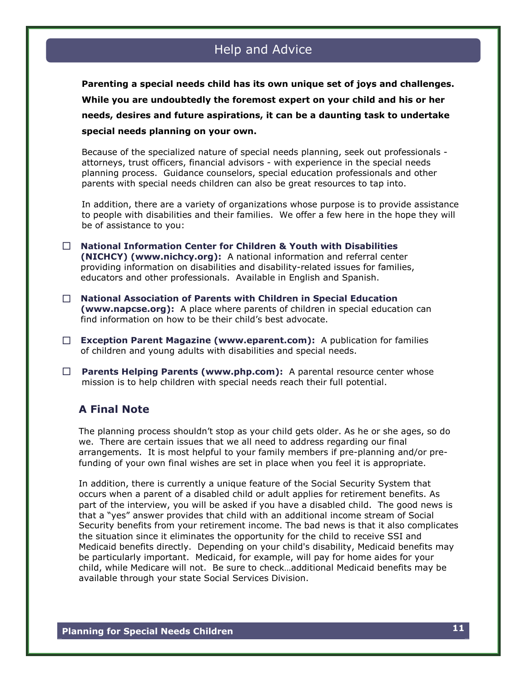## Help and Advice

**Parenting a special needs child has its own unique set of joys and challenges. While you are undoubtedly the foremost expert on your child and his or her needs, desires and future aspirations, it can be a daunting task to undertake special needs planning on your own.**

Because of the specialized nature of special needs planning, seek out professionals attorneys, trust officers, financial advisors - with experience in the special needs planning process. Guidance counselors, special education professionals and other parents with special needs children can also be great resources to tap into.

In addition, there are a variety of organizations whose purpose is to provide assistance to people with disabilities and their families. We offer a few here in the hope they will be of assistance to you:

- **National Information Center for Children & Youth with Disabilities (NICHCY) (www.nichcy.org):** A national information and referral center providing information on disabilities and disability-related issues for families, educators and other professionals. Available in English and Spanish.
- **National Association of Parents with Children in Special Education (www.napcse.org):** A place where parents of children in special education can find information on how to be their child's best advocate.
- **Exception Parent Magazine (www.eparent.com):** A publication for families of children and young adults with disabilities and special needs.
- **Parents Helping Parents (www.php.com):** A parental resource center whose mission is to help children with special needs reach their full potential.

## **A Final Note**

The planning process shouldn't stop as your child gets older. As he or she ages, so do we. There are certain issues that we all need to address regarding our final arrangements. It is most helpful to your family members if pre-planning and/or prefunding of your own final wishes are set in place when you feel it is appropriate.

In addition, there is currently a unique feature of the Social Security System that occurs when a parent of a disabled child or adult applies for retirement benefits. As part of the interview, you will be asked if you have a disabled child. The good news is that a "yes" answer provides that child with an additional income stream of Social Security benefits from your retirement income. The bad news is that it also complicates the situation since it eliminates the opportunity for the child to receive SSI and Medicaid benefits directly. Depending on your child's disability, Medicaid benefits may be particularly important. Medicaid, for example, will pay for home aides for your child, while Medicare will not. Be sure to check...additional Medicaid benefits may be available through your state Social Services Division.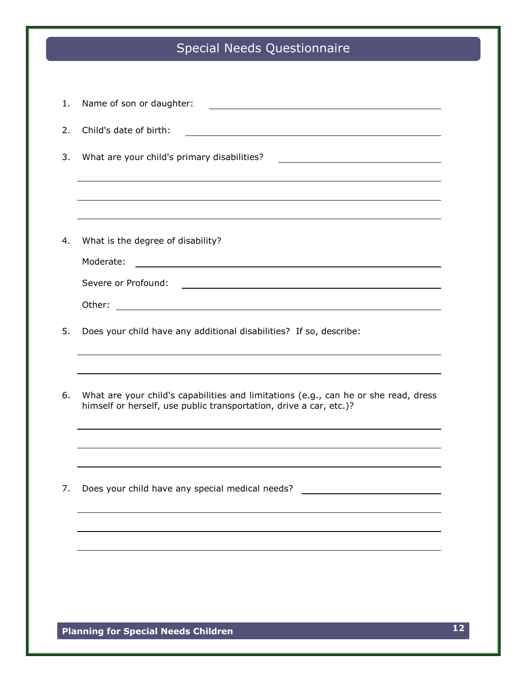# Special Needs Questionnaire

| 1. | Name of son or daughter:<br><u> 1980 - Johann Stoff, deutscher Stoffen und der Stoffen und der Stoffen und der Stoffen und der Stoffen und der</u>        |
|----|-----------------------------------------------------------------------------------------------------------------------------------------------------------|
| 2. | Child's date of birth:                                                                                                                                    |
| 3. | What are your child's primary disabilities?                                                                                                               |
|    |                                                                                                                                                           |
|    |                                                                                                                                                           |
| 4. | What is the degree of disability?                                                                                                                         |
|    | Moderate:                                                                                                                                                 |
|    | Severe or Profound:                                                                                                                                       |
|    | Other:                                                                                                                                                    |
| 5. | Does your child have any additional disabilities? If so, describe:                                                                                        |
|    |                                                                                                                                                           |
| 6. | What are your child's capabilities and limitations (e.g., can he or she read, dress<br>himself or herself, use public transportation, drive a car, etc.)? |
|    |                                                                                                                                                           |
|    |                                                                                                                                                           |
| 7. | Does your child have any special medical needs?                                                                                                           |
|    |                                                                                                                                                           |
|    |                                                                                                                                                           |
|    |                                                                                                                                                           |
|    |                                                                                                                                                           |
|    |                                                                                                                                                           |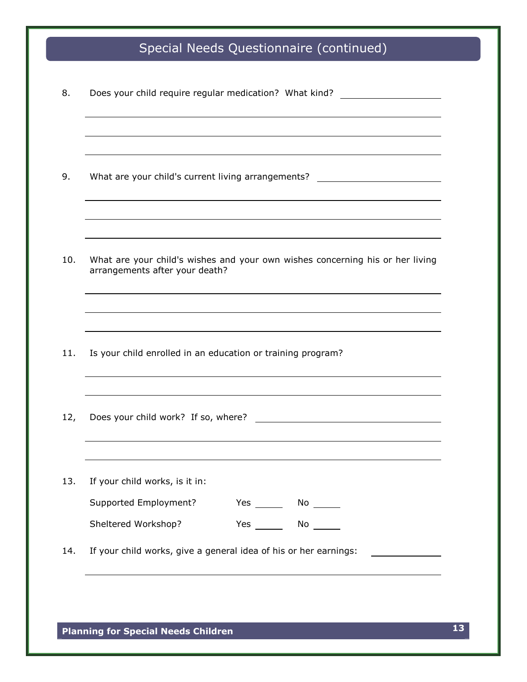# Special Needs Questionnaire (continued)

|     |                                                                                                                 |            | Does your child require regular medication? What kind?                                                                                                                                                                               |  |
|-----|-----------------------------------------------------------------------------------------------------------------|------------|--------------------------------------------------------------------------------------------------------------------------------------------------------------------------------------------------------------------------------------|--|
|     |                                                                                                                 |            |                                                                                                                                                                                                                                      |  |
| 9.  | What are your child's current living arrangements? _____________________________                                |            |                                                                                                                                                                                                                                      |  |
|     |                                                                                                                 |            |                                                                                                                                                                                                                                      |  |
| 10. | What are your child's wishes and your own wishes concerning his or her living<br>arrangements after your death? |            |                                                                                                                                                                                                                                      |  |
|     |                                                                                                                 |            |                                                                                                                                                                                                                                      |  |
| 11. | Is your child enrolled in an education or training program?                                                     |            |                                                                                                                                                                                                                                      |  |
| 12, | Does your child work? If so, where?                                                                             |            |                                                                                                                                                                                                                                      |  |
|     |                                                                                                                 |            |                                                                                                                                                                                                                                      |  |
| 13. | If your child works, is it in:<br>Supported Employment?                                                         | $Yes \_\_$ | $No \underline{\hspace{2cm}}$                                                                                                                                                                                                        |  |
|     | Sheltered Workshop?                                                                                             |            | Yes No                                                                                                                                                                                                                               |  |
| 14. | If your child works, give a general idea of his or her earnings:                                                |            | <u>and the company of the company of the company of the company of the company of the company of the company of the company of the company of the company of the company of the company of the company of the company of the com</u> |  |

**Planning for Special Needs Children 13**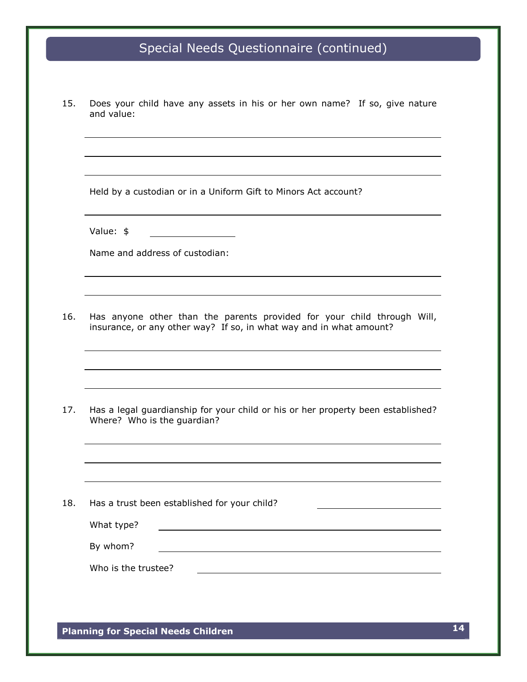# Special Needs Questionnaire (continued)

15. Does your child have any assets in his or her own name? If so, give nature and value:

Held by a custodian or in a Uniform Gift to Minors Act account?

Value: \$

Name and address of custodian:

16. Has anyone other than the parents provided for your child through Will, insurance, or any other way? If so, in what way and in what amount?

17. Has a legal guardianship for your child or his or her property been established? Where? Who is the guardian?

18. Has a trust been established for your child? What type? By whom? Who is the trustee?

**Planning for Special Needs Children 14**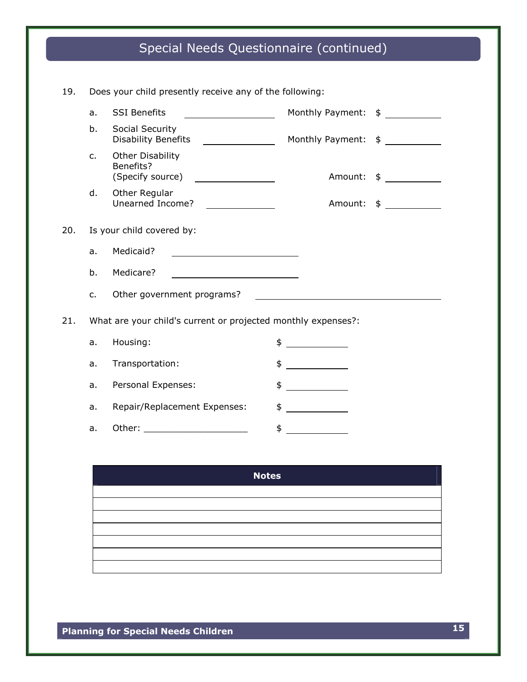# Special Needs Questionnaire (continued)

| 19. |                                                               | Does your child presently receive any of the following:                                                        |                                 |               |
|-----|---------------------------------------------------------------|----------------------------------------------------------------------------------------------------------------|---------------------------------|---------------|
|     | a.                                                            | <b>SSI Benefits</b>                                                                                            | Monthly Payment: \$ ___________ |               |
|     | b.                                                            | Social Security<br><b>Disability Benefits</b>                                                                  | Monthly Payment: \$ ___________ |               |
|     | $C_{\bullet}$                                                 | <b>Other Disability</b><br>Benefits?<br>(Specify source)                                                       | Amount:                         | $\frac{1}{2}$ |
|     | d.                                                            | Other Regular<br>Unearned Income?                                                                              | Amount:                         | $\frac{1}{2}$ |
| 20. | Is your child covered by:                                     |                                                                                                                |                                 |               |
|     | a.                                                            | Medicaid?                                                                                                      |                                 |               |
|     | b.                                                            | Medicare?                                                                                                      |                                 |               |
|     | $C_{1}$                                                       | Other government programs?                                                                                     |                                 |               |
| 21. | What are your child's current or projected monthly expenses?: |                                                                                                                |                                 |               |
|     | a.                                                            | Housing:                                                                                                       | \$                              |               |
|     | a.                                                            | Transportation:                                                                                                | \$                              |               |
|     | a.                                                            | Personal Expenses:                                                                                             | \$<br><u> Albanya (Albanya)</u> |               |
|     | a.                                                            | Repair/Replacement Expenses:                                                                                   | \$                              |               |
|     | a.                                                            | Other: and the contract of the contract of the contract of the contract of the contract of the contract of the | \$                              |               |

| <b>Notes</b> |
|--------------|
|              |
|              |
|              |
|              |
|              |
|              |
|              |

**Planning for Special Needs Children 15**